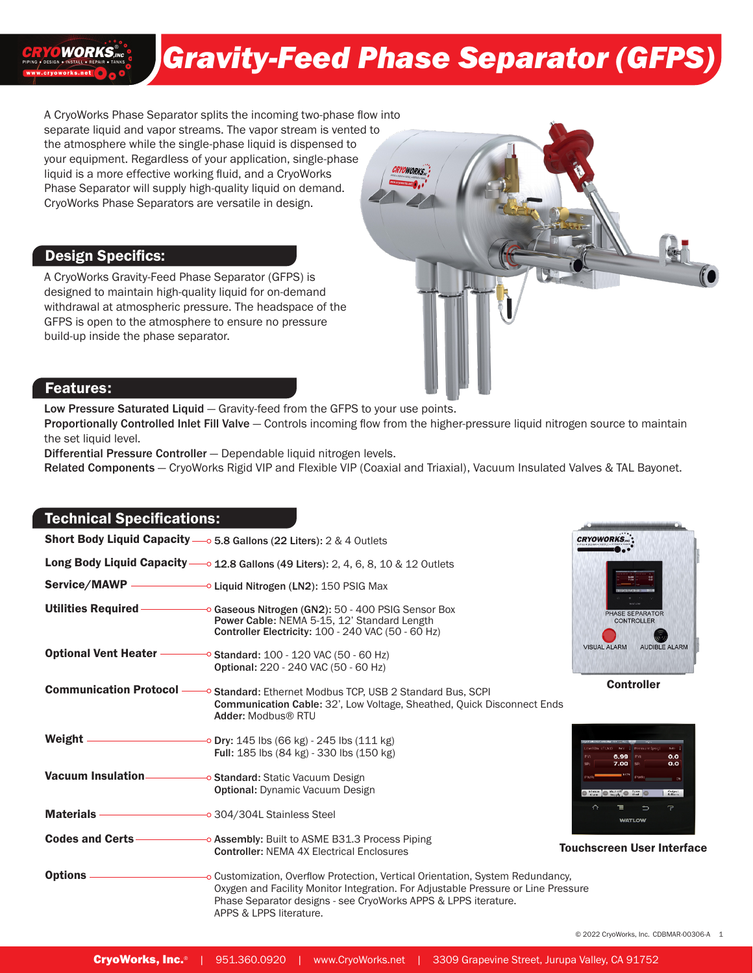# *Gravity-Feed Phase Separator (GFPS)*

A CryoWorks Phase Separator splits the incoming two-phase flow into separate liquid and vapor streams. The vapor stream is vented to the atmosphere while the single-phase liquid is dispensed to your equipment. Regardless of your application, single-phase liquid is a more effective working fluid, and a CryoWorks Phase Separator will supply high-quality liquid on demand. CryoWorks Phase Separators are versatile in design.

# Design Specifics:

**WORKS**,ING

A CryoWorks Gravity-Feed Phase Separator (GFPS) is designed to maintain high-quality liquid for on-demand withdrawal at atmospheric pressure. The headspace of the GFPS is open to the atmosphere to ensure no pressure build-up inside the phase separator.



Low Pressure Saturated Liquid — Gravity-feed from the GFPS to your use points.

Proportionally Controlled Inlet Fill Valve – Controls incoming flow from the higher-pressure liquid nitrogen source to maintain the set liquid level.

Differential Pressure Controller — Dependable liquid nitrogen levels.

Related Components - CryoWorks Rigid VIP and Flexible VIP (Coaxial and Triaxial), Vacuum Insulated Valves & TAL Bayonet.

# Technical Specifications:

|                                                         | Short Body Liquid Capacity - 0 5.8 Gallons (22 Liters): 2 & 4 Outlets                                                                                                                                                                                            | <b>CRYOWORKS</b>                                                             |
|---------------------------------------------------------|------------------------------------------------------------------------------------------------------------------------------------------------------------------------------------------------------------------------------------------------------------------|------------------------------------------------------------------------------|
|                                                         | Long Body Liquid Capacity - 0 12.8 Gallons (49 Liters): 2, 4, 6, 8, 10 & 12 Outlets                                                                                                                                                                              |                                                                              |
|                                                         | Service/MAWP - Liquid Nitrogen (LN2): 150 PSIG Max                                                                                                                                                                                                               |                                                                              |
| <b>Utilities Required-</b>                              | Gaseous Nitrogen (GN2): 50 - 400 PSIG Sensor Box<br>Power Cable: NEMA 5-15, 12' Standard Length<br>Controller Electricity: 100 - 240 VAC (50 - 60 Hz)                                                                                                            | <b>HASE SEPARATOR</b><br><b>CONTROLLER</b>                                   |
|                                                         | Optional Vent Heater - Standard: 100 - 120 VAC (50 - 60 Hz)<br>Optional: 220 - 240 VAC (50 - 60 Hz)                                                                                                                                                              | <b>VISUAL ALARM</b><br><b>AUDIBLE ALARM</b>                                  |
| <b>Communication Protocol -</b>                         | <sup>→</sup> Standard: Ethernet Modbus TCP, USB 2 Standard Bus, SCPI<br><b>Communication Cable: 32', Low Voltage, Sheathed, Quick Disconnect Ends</b><br>Adder: Modbus® RTU                                                                                      | <b>Controller</b>                                                            |
| Weight $-$                                              | <b>Dry:</b> 145 lbs (66 kg) - 245 lbs (111 kg)<br>Full: 185 lbs (84 kg) - 330 lbs (150 kg)                                                                                                                                                                       | 6.99 PV:<br>0.0<br>7.00 SP:<br>0.0                                           |
| <b>Vacuum Insulation-</b>                               | O Standard: Static Vacuum Design<br><b>Optional:</b> Dynamic Vacuum Design                                                                                                                                                                                       | PWR:<br>$\bullet$ State $\bullet$ State of $\bullet$ 2.5 $\bullet$<br>Output |
| Materials <u>Communication</u> 304/304L Stainless Steel |                                                                                                                                                                                                                                                                  | $\curvearrowright$<br>7<br>Έ<br>$\Rightarrow$<br><b>WATLOW</b>               |
| <b>Codes and Certs-</b>                                 | <b>Example 20 Assembly:</b> Built to ASME B31.3 Process Piping<br><b>Controller: NEMA 4X Electrical Enclosures</b>                                                                                                                                               | <b>Touchscreen User Interface</b>                                            |
| <b>Options</b> –                                        | - Oustomization, Overflow Protection, Vertical Orientation, System Redundancy,<br>Oxygen and Facility Monitor Integration. For Adjustable Pressure or Line Pressure<br>Phase Separator designs - see CryoWorks APPS & LPPS iterature.<br>APPS & LPPS literature. |                                                                              |



© 2022 CryoWorks, Inc. CDBMAR-00306-A 1